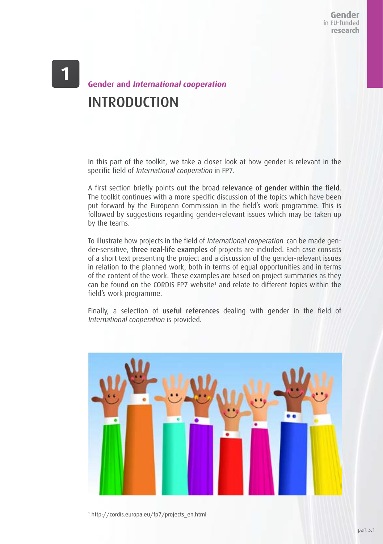Gender in FU-funded research

## **Gender and International cooperation**  INTRODUCTION

In this part of the toolkit, we take a closer look at how gender is relevant in the specific field of International cooperation in FP7.

A first section briefly points out the broad relevance of gender within the field. The toolkit continues with a more specific discussion of the topics which have been put forward by the European Commission in the field's work programme. This is followed by suggestions regarding gender-relevant issues which may be taken up by the teams.

To illustrate how projects in the field of International cooperation can be made gender-sensitive, three real-life examples of projects are included. Each case consists of a short text presenting the project and a discussion of the gender-relevant issues in relation to the planned work, both in terms of equal opportunities and in terms of the content of the work. These examples are based on project summaries as they can be found on the CORDIS FP7 website<sup>1</sup> and relate to different topics within the field's work programme.

Finally, a selection of useful references dealing with gender in the field of International cooperation is provided.



1 http://cordis.europa.eu/fp7/projects\_en.html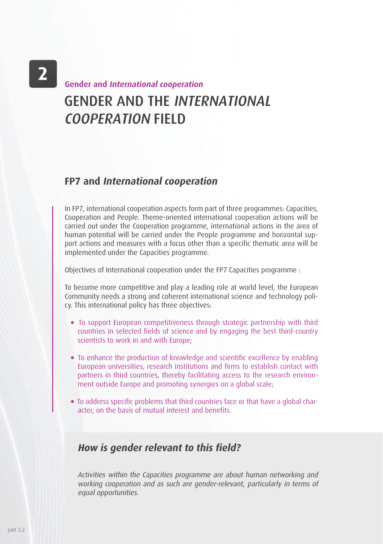$\mathbf{2}$ 

# GENDER AND THE INTERNATIONAL COOPERATION FIELD **Gender and International cooperation**

## **FP7 and International cooperation**

In FP7, international cooperation aspects form part of three programmes: Capacities, Cooperation and People. Theme-oriented international cooperation actions will be carried out under the Cooperation programme, international actions in the area of human potential will be carried under the People programme and horizontal support actions and measures with a focus other than a specific thematic area will be implemented under the Capacities programme.

Objectives of International cooperation under the FP7 Capacities programme :

To become more competitive and play a leading role at world level, the European Community needs a strong and coherent international science and technology policy. This international policy has three objectives:

- To support European competitiveness through strategic partnership with third countries in selected fields of science and by engaging the best third-country scientists to work in and with Europe;
- To enhance the production of knowledge and scientific excellence by enabling European universities, research institutions and firms to establish contact with partners in third countries, thereby facilitating access to the research environment outside Europe and promoting synergies on a global scale;
- To address specific problems that third countries face or that have a global character, on the basis of mutual interest and benefits.

### **How is gender relevant to this field?**

Activities within the Capacities programme are about human networking and working cooperation and as such are gender-relevant, particularly in terms of equal opportunities.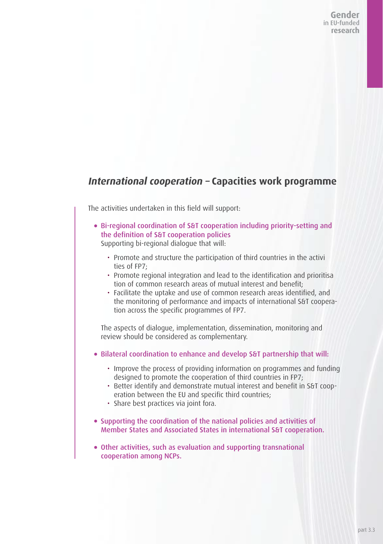Gender in FU-funded research

## **International cooperation – Capacities work programme**

The activities undertaken in this field will support:

- Bi-regional coordination of S&T cooperation including priority-setting and the definition of S&T cooperation policies Supporting bi-regional dialogue that will:
	- Promote and structure the participation of third countries in the activi ties of FP7;
	- Promote regional integration and lead to the identification and prioritisa tion of common research areas of mutual interest and benefit;
	- Facilitate the uptake and use of common research areas identified, and the monitoring of performance and impacts of international S&T cooperation across the specific programmes of FP7.

The aspects of dialogue, implementation, dissemination, monitoring and review should be considered as complementary.

- Bilateral coordination to enhance and develop S&T partnership that will:
	- Improve the process of providing information on programmes and funding designed to promote the cooperation of third countries in FP7;
	- Better identify and demonstrate mutual interest and benefit in S&T cooperation between the EU and specific third countries;
	- Share best practices via joint fora.
- Supporting the coordination of the national policies and activities of Member States and Associated States in international S&T cooperation.
- Other activities, such as evaluation and supporting transnational cooperation among NCPs.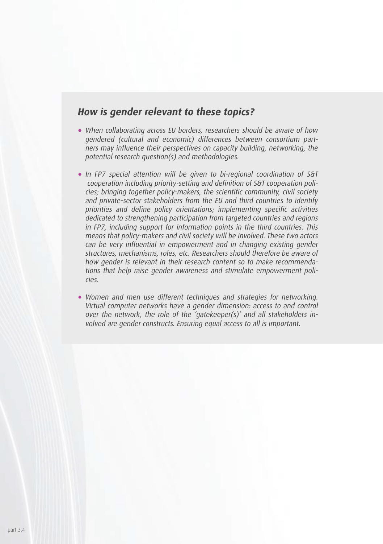## **How is gender relevant to these topics?**

- When collaborating across EU borders, researchers should be aware of how gendered (cultural and economic) differences between consortium partners may influence their perspectives on capacity building, networking, the potential research question(s) and methodologies.
- In FP7 special attention will be given to bi-regional coordination of S&T cooperation including priority-setting and definition of S&T cooperation policies; bringing together policy-makers, the scientific community, civil society and private-sector stakeholders from the EU and third countries to identify priorities and define policy orientations; implementing specific activities dedicated to strengthening participation from targeted countries and regions in FP7, including support for information points in the third countries. This means that policy-makers and civil society will be involved. These two actors can be very influential in empowerment and in changing existing gender structures, mechanisms, roles, etc. Researchers should therefore be aware of how gender is relevant in their research content so to make recommendations that help raise gender awareness and stimulate empowerment policies.
- Women and men use different techniques and strategies for networking. Virtual computer networks have a gender dimension: access to and control over the network, the role of the 'gatekeeper(s)' and all stakeholders involved are gender constructs. Ensuring equal access to all is important.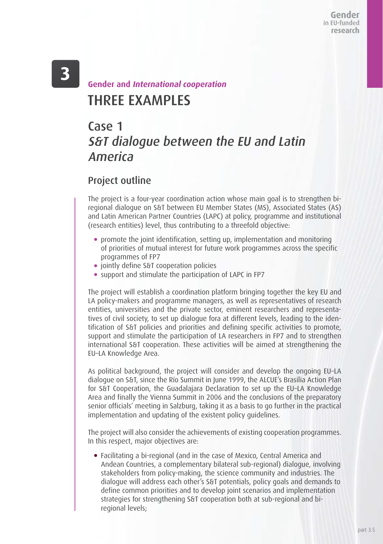## THREE EXAMPLES **Gender and International cooperation**

## Case 1 S&T dialogue between the EU and Latin America

## Project outline

The project is a four-year coordination action whose main goal is to strengthen biregional dialogue on S&T between EU Member States (MS), Associated States (AS) and Latin American Partner Countries (LAPC) at policy, programme and institutional (research entities) level, thus contributing to a threefold objective:

- promote the joint identification, setting up, implementation and monitoring of priorities of mutual interest for future work programmes across the specific programmes of FP7
- **•** jointly define S&T cooperation policies
- support and stimulate the participation of LAPC in FP7

The project will establish a coordination platform bringing together the key EU and LA policy-makers and programme managers, as well as representatives of research entities, universities and the private sector, eminent researchers and representatives of civil society, to set up dialogue fora at different levels, leading to the identification of S&T policies and priorities and defining specific activities to promote, support and stimulate the participation of LA researchers in FP7 and to strengthen international S&T cooperation. These activities will be aimed at strengthening the EU–LA Knowledge Area.

As political background, the project will consider and develop the ongoing EU–LA dialogue on S&T, since the Río Summit in June 1999, the ALCUE's Brasilia Action Plan for S&T Cooperation, the Guadalajara Declaration to set up the EU–LA Knowledge Area and finally the Vienna Summit in 2006 and the conclusions of the preparatory senior officials' meeting in Salzburg, taking it as a basis to go further in the practical implementation and updating of the existent policy guidelines.

The project will also consider the achievements of existing cooperation programmes. In this respect, major objectives are:

 Facilitating a bi-regional (and in the case of Mexico, Central America and Andean Countries, a complementary bilateral sub-regional) dialogue, involving stakeholders from policy-making, the science community and industries. The dialogue will address each other's S&T potentials, policy goals and demands to define common priorities and to develop joint scenarios and implementation strategies for strengthening S&T cooperation both at sub-regional and biregional levels;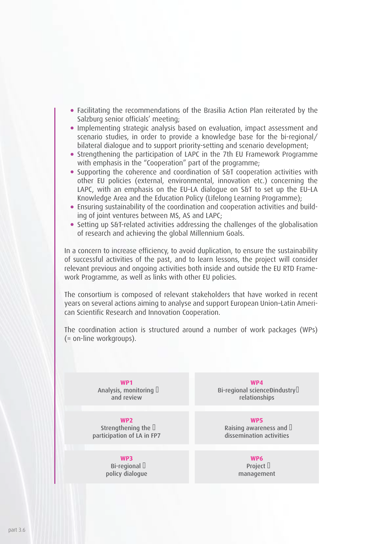- Facilitating the recommendations of the Brasilia Action Plan reiterated by the Salzburg senior officials' meeting;
- Implementing strategic analysis based on evaluation, impact assessment and scenario studies, in order to provide a knowledge base for the bi-regional/ bilateral dialogue and to support priority-setting and scenario development;
- Strengthening the participation of LAPC in the 7th EU Framework Programme with emphasis in the "Cooperation" part of the programme;
- Supporting the coherence and coordination of S&T cooperation activities with other EU policies (external, environmental, innovation etc.) concerning the LAPC, with an emphasis on the EU–LA dialogue on S&T to set up the EU–LA Knowledge Area and the Education Policy (Lifelong Learning Programme);
- Ensuring sustainability of the coordination and cooperation activities and building of joint ventures between MS, AS and LAPC;
- Setting up S&T-related activities addressing the challenges of the globalisation of research and achieving the global Millennium Goals.

In a concern to increase efficiency, to avoid duplication, to ensure the sustainability of successful activities of the past, and to learn lessons, the project will consider relevant previous and ongoing activities both inside and outside the EU RTD Framework Programme, as well as links with other EU policies.

The consortium is composed of relevant stakeholders that have worked in recent years on several actions aiming to analyse and support European Union–Latin American Scientific Research and Innovation Cooperation.

The coordination action is structured around a number of work packages (WPs) (= on-line workgroups).

> **WP1** Analysis, monitoring  $\Box$ and review

**WP2** Strengthening the  $\mathbb I$ participation of LA in FP7

### **WP3**

Bi-regional  $\Box$ policy dialogue

**WP4** Bi-regional scienceĐindustry<sup>[]</sup> relationships

**WP5** Raising awareness and  $\Box$ dissemination activities

> **WP6** Project  $\Box$ management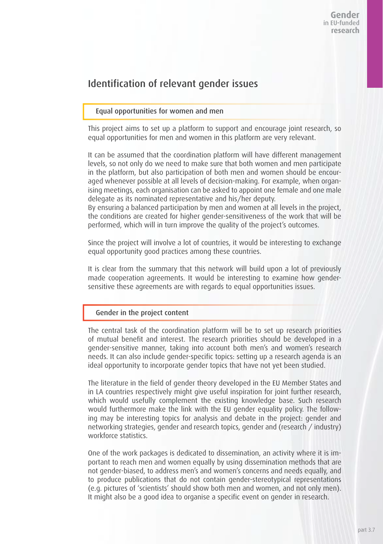## Identification of relevant gender issues

#### Equal opportunities for women and men

This project aims to set up a platform to support and encourage joint research, so equal opportunities for men and women in this platform are very relevant.

It can be assumed that the coordination platform will have different management levels, so not only do we need to make sure that both women and men participate in the platform, but also participation of both men and women should be encouraged whenever possible at all levels of decision-making. For example, when organising meetings, each organisation can be asked to appoint one female and one male delegate as its nominated representative and his/her deputy.

By ensuring a balanced participation by men and women at all levels in the project, the conditions are created for higher gender-sensitiveness of the work that will be performed, which will in turn improve the quality of the project's outcomes.

Since the project will involve a lot of countries, it would be interesting to exchange equal opportunity good practices among these countries.

It is clear from the summary that this network will build upon a lot of previously made cooperation agreements. It would be interesting to examine how gendersensitive these agreements are with regards to equal opportunities issues.

#### Gender in the project content

The central task of the coordination platform will be to set up research priorities of mutual benefit and interest. The research priorities should be developed in a gender-sensitive manner, taking into account both men's and women's research needs. It can also include gender-specific topics: setting up a research agenda is an ideal opportunity to incorporate gender topics that have not yet been studied.

The literature in the field of gender theory developed in the EU Member States and in LA countries respectively might give useful inspiration for joint further research, which would usefully complement the existing knowledge base. Such research would furthermore make the link with the EU gender equality policy. The following may be interesting topics for analysis and debate in the project: gender and networking strategies, gender and research topics, gender and (research / industry) workforce statistics.

One of the work packages is dedicated to dissemination, an activity where it is important to reach men and women equally by using dissemination methods that are not gender-biased, to address men's and women's concerns and needs equally, and to produce publications that do not contain gender-stereotypical representations (e.g. pictures of 'scientists' should show both men and women, and not only men). It might also be a good idea to organise a specific event on gender in research.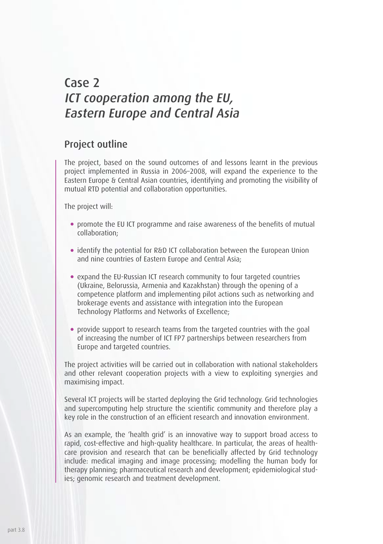## Case 2 ICT cooperation among the EU, Eastern Europe and Central Asia

### Project outline

The project, based on the sound outcomes of and lessons learnt in the previous project implemented in Russia in 2006–2008, will expand the experience to the Eastern Europe & Central Asian countries, identifying and promoting the visibility of mutual RTD potential and collaboration opportunities.

The project will:

- promote the EU ICT programme and raise awareness of the benefits of mutual collaboration;
- identify the potential for R&D ICT collaboration between the European Union and nine countries of Eastern Europe and Central Asia;
- expand the EU-Russian ICT research community to four targeted countries (Ukraine, Belorussia, Armenia and Kazakhstan) through the opening of a competence platform and implementing pilot actions such as networking and brokerage events and assistance with integration into the European Technology Platforms and Networks of Excellence;
- provide support to research teams from the targeted countries with the goal of increasing the number of ICT FP7 partnerships between researchers from Europe and targeted countries.

The project activities will be carried out in collaboration with national stakeholders and other relevant cooperation projects with a view to exploiting synergies and maximising impact.

Several ICT projects will be started deploying the Grid technology. Grid technologies and supercomputing help structure the scientific community and therefore play a key role in the construction of an efficient research and innovation environment.

As an example, the 'health grid' is an innovative way to support broad access to rapid, cost-effective and high-quality healthcare. In particular, the areas of healthcare provision and research that can be beneficially affected by Grid technology include: medical imaging and image processing; modelling the human body for therapy planning; pharmaceutical research and development; epidemiological studies; genomic research and treatment development.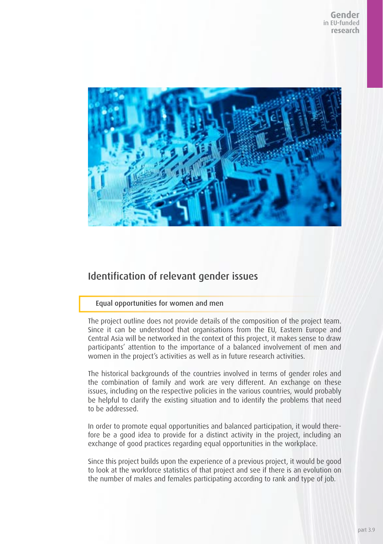

## Identification of relevant gender issues

#### Equal opportunities for women and men

The project outline does not provide details of the composition of the project team. Since it can be understood that organisations from the EU, Eastern Europe and Central Asia will be networked in the context of this project, it makes sense to draw participants' attention to the importance of a balanced involvement of men and women in the project's activities as well as in future research activities.

The historical backgrounds of the countries involved in terms of gender roles and the combination of family and work are very different. An exchange on these issues, including on the respective policies in the various countries, would probably be helpful to clarify the existing situation and to identify the problems that need to be addressed.

In order to promote equal opportunities and balanced participation, it would therefore be a good idea to provide for a distinct activity in the project, including an exchange of good practices regarding equal opportunities in the workplace.

Since this project builds upon the experience of a previous project, it would be good to look at the workforce statistics of that project and see if there is an evolution on the number of males and females participating according to rank and type of job.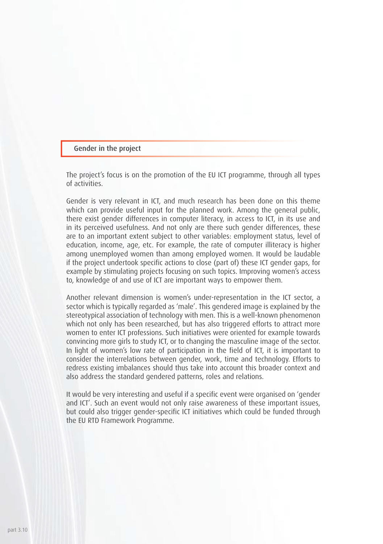#### Gender in the project

The project's focus is on the promotion of the EU ICT programme, through all types of activities.

Gender is very relevant in ICT, and much research has been done on this theme which can provide useful input for the planned work. Among the general public, there exist gender differences in computer literacy, in access to ICT, in its use and in its perceived usefulness. And not only are there such gender differences, these are to an important extent subject to other variables: employment status, level of education, income, age, etc. For example, the rate of computer illiteracy is higher among unemployed women than among employed women. It would be laudable if the project undertook specific actions to close (part of) these ICT gender gaps, for example by stimulating projects focusing on such topics. Improving women's access to, knowledge of and use of ICT are important ways to empower them.

Another relevant dimension is women's under-representation in the ICT sector, a sector which is typically regarded as 'male'. This gendered image is explained by the stereotypical association of technology with men. This is a well-known phenomenon which not only has been researched, but has also triggered efforts to attract more women to enter ICT professions. Such initiatives were oriented for example towards convincing more girls to study ICT, or to changing the masculine image of the sector. In light of women's low rate of participation in the field of ICT, it is important to consider the interrelations between gender, work, time and technology. Efforts to redress existing imbalances should thus take into account this broader context and also address the standard gendered patterns, roles and relations.

It would be very interesting and useful if a specific event were organised on 'gender and ICT'. Such an event would not only raise awareness of these important issues, but could also trigger gender-specific ICT initiatives which could be funded through the EU RTD Framework Programme.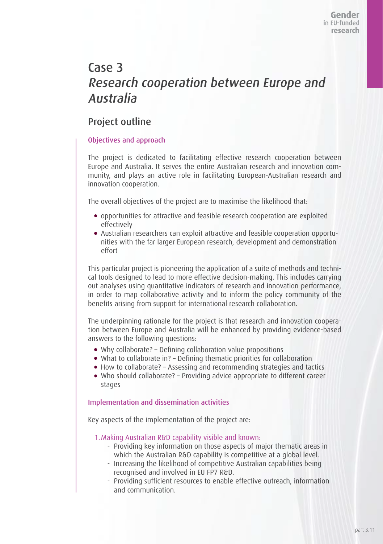## Case 3 Research cooperation between Europe and Australia

## Project outline

### Objectives and approach

The project is dedicated to facilitating effective research cooperation between Europe and Australia. It serves the entire Australian research and innovation community, and plays an active role in facilitating European-Australian research and innovation cooperation.

The overall objectives of the project are to maximise the likelihood that:

- opportunities for attractive and feasible research cooperation are exploited effectively
- Australian researchers can exploit attractive and feasible cooperation opportunities with the far larger European research, development and demonstration effort

This particular project is pioneering the application of a suite of methods and technical tools designed to lead to more effective decision-making. This includes carrying out analyses using quantitative indicators of research and innovation performance, in order to map collaborative activity and to inform the policy community of the benefits arising from support for international research collaboration.

The underpinning rationale for the project is that research and innovation cooperation between Europe and Australia will be enhanced by providing evidence-based answers to the following questions:

- Why collaborate? Defining collaboration value propositions
- What to collaborate in? Defining thematic priorities for collaboration
- How to collaborate? Assessing and recommending strategies and tactics
- Who should collaborate? Providing advice appropriate to different career stages

### Implementation and dissemination activities

Key aspects of the implementation of the project are:

1.Making Australian R&D capability visible and known:

- Providing key information on those aspects of major thematic areas in which the Australian R&D capability is competitive at a global level.
- Increasing the likelihood of competitive Australian capabilities being recognised and involved in EU FP7 R&D.
- Providing sufficient resources to enable effective outreach, information and communication.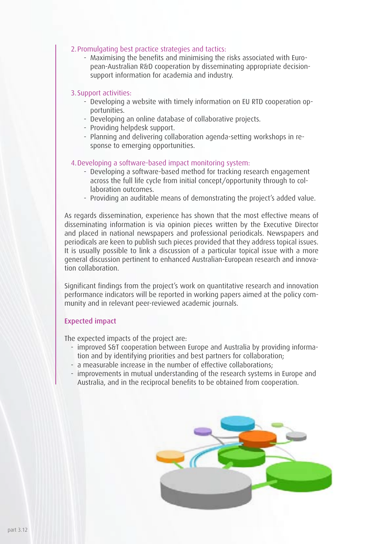#### 2.Promulgating best practice strategies and tactics:

- Maximising the benefits and minimising the risks associated with European-Australian R&D cooperation by disseminating appropriate decisionsupport information for academia and industry.

#### 3.Support activities:

- Developing a website with timely information on EU RTD cooperation opportunities.
- Developing an online database of collaborative projects.
- Providing helpdesk support.
- Planning and delivering collaboration agenda-setting workshops in response to emerging opportunities.

### 4.Developing a software-based impact monitoring system:

- Developing a software-based method for tracking research engagement across the full life cycle from initial concept/opportunity through to collaboration outcomes.
- Providing an auditable means of demonstrating the project's added value.

As regards dissemination, experience has shown that the most effective means of disseminating information is via opinion pieces written by the Executive Director and placed in national newspapers and professional periodicals. Newspapers and periodicals are keen to publish such pieces provided that they address topical issues. It is usually possible to link a discussion of a particular topical issue with a more general discussion pertinent to enhanced Australian-European research and innovation collaboration.

Significant findings from the project's work on quantitative research and innovation performance indicators will be reported in working papers aimed at the policy community and in relevant peer-reviewed academic journals.

#### Expected impact

The expected impacts of the project are:

- improved S&T cooperation between Europe and Australia by providing information and by identifying priorities and best partners for collaboration;
- a measurable increase in the number of effective collaborations;
- improvements in mutual understanding of the research systems in Europe and Australia, and in the reciprocal benefits to be obtained from cooperation.

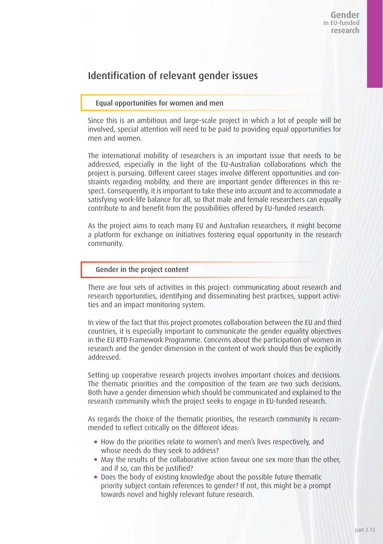## Identification of relevant gender issues

#### Equal opportunities for women and men

Since this is an ambitious and large-scale project in which a lot of people will be involved, special attention will need to be paid to providing equal opportunities for men and women.

The international mobility of researchers is an important issue that needs to be addressed, especially in the light of the EU-Australian collaborations which the project is pursuing. Different career stages involve different opportunities and constraints regarding mobility, and there are important gender differences in this respect. Consequently, it is important to take these into account and to accommodate a satisfying work-life balance for all, so that male and female researchers can equally contribute to and benefit from the possibilities offered by EU-funded research.

As the project aims to reach many EU and Australian researchers, it might become a platform for exchange on initiatives fostering equal opportunity in the research community.

#### Gender in the project content

There are four sets of activities in this project: communicating about research and research opportunities, identifying and disseminating best practices, support activities and an impact monitoring system.

In view of the fact that this project promotes collaboration between the EU and third countries, it is especially important to communicate the gender equality objectives in the EU RTD Framework Programme. Concerns about the participation of women in research and the gender dimension in the content of work should thus be explicitly addressed.

Setting up cooperative research projects involves important choices and decisions. The thematic priorities and the composition of the team are two such decisions. Both have a gender dimension which should be communicated and explained to the research community which the project seeks to engage in EU-funded research.

As regards the choice of the thematic priorities, the research community is recommended to reflect critically on the different ideas:

- How do the priorities relate to women's and men's lives respectively, and whose needs do they seek to address?
- May the results of the collaborative action favour one sex more than the other, and if so, can this be justified?
- Does the body of existing knowledge about the possible future thematic priority subject contain references to gender? If not, this might be a prompt towards novel and highly relevant future research.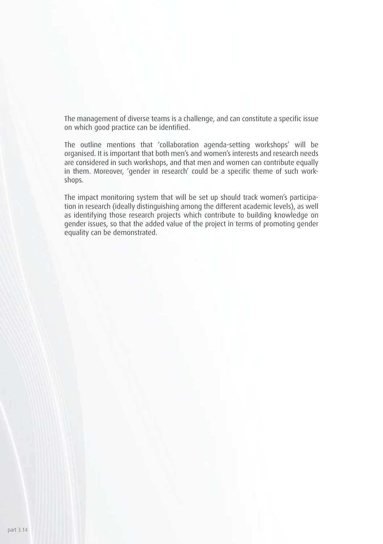The management of diverse teams is a challenge, and can constitute a specific issue on which good practice can be identified.

The outline mentions that 'collaboration agenda-setting workshops' will be organised. It is important that both men's and women's interests and research needs are considered in such workshops, and that men and women can contribute equally in them. Moreover, 'gender in research' could be a specific theme of such workshops.

The impact monitoring system that will be set up should track women's participation in research (ideally distinguishing among the different academic levels), as well as identifying those research projects which contribute to building knowledge on gender issues, so that the added value of the project in terms of promoting gender equality can be demonstrated.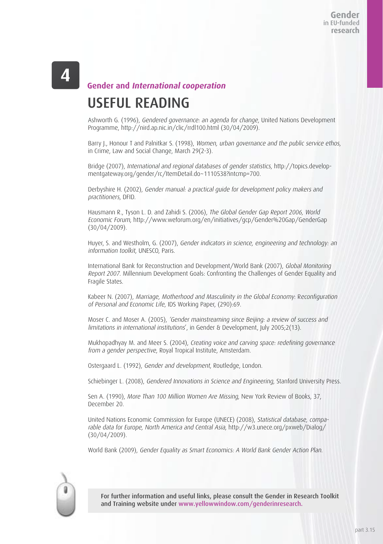### **Gender and International cooperation**

# USEFUL READING

Ashworth G. (1996), Gendered governance: an agenda for change, United Nations Development Programme, http://nird.ap.nic.in/clic/rrdl100.html (30/04/2009).

Barry J., Honour T and Palnitkar S. (1998), Women, urban governance and the public service ethos, in Crime, Law and Social Change, March 29(2-3).

Bridge (2007), International and regional databases of gender statistics, http://topics.developmentgateway.org/gender/rc/ItemDetail.do~1110538?intcmp=700.

Derbyshire H. (2002), Gender manual: a practical guide for development policy makers and practitioners, DFID.

Hausmann R., Tyson L. D. and Zahidi S. (2006), The Global Gender Gap Report 2006, World Economic Forum, http://www.weforum.org/en/initiatives/gcp/Gender%20Gap/GenderGap (30/04/2009).

Huyer, S. and Westholm, G. (2007), Gender indicators in science, engineering and technology: an information toolkit, UNESCO, Paris.

International Bank for Reconstruction and Development/World Bank (2007), Global Monitoring Report 2007. Millennium Development Goals: Confronting the Challenges of Gender Equality and Fragile States.

Kabeer N. (2007), Marriage, Motherhood and Masculinity in the Global Economy: Reconfiguration of Personal and Economic Life, IDS Working Paper, (290):69.

Moser C. and Moser A. (2005), 'Gender mainstreaming since Beijing: a review of success and limitations in international institutions', in Gender & Development, July 2005;2(13).

Mukhopadhyay M. and Meer S. (2004), Creating voice and carving space: redefining governance from a gender perspective, Royal Tropical Institute, Amsterdam.

Ostergaard L. (1992), Gender and development, Routledge, London.

Schiebinger L. (2008), Gendered Innovations in Science and Engineering, Stanford University Press.

Sen A. (1990), More Than 100 Million Women Are Missing, New York Review of Books, 37, December 20.

United Nations Economic Commission for Europe (UNECE) (2008), Statistical database, comparable data for Europe, North America and Central Asia, http://w3.unece.org/pxweb/Dialog/ (30/04/2009).

World Bank (2009), Gender Equality as Smart Economics: A World Bank Gender Action Plan.



For further information and useful links, please consult the Gender in Research Toolkit and Training website under www.yellowwindow.com/genderinresearch.